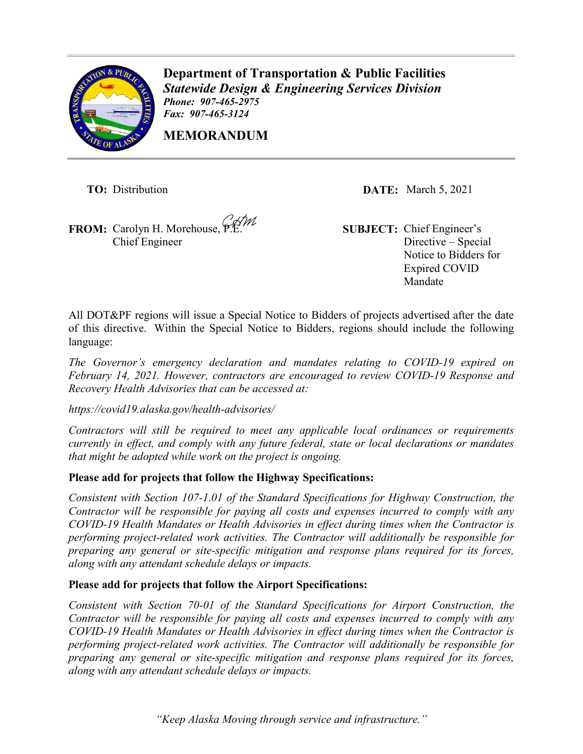

**Department of Transportation & Public Facilities** *Statewide Design & Engineering Services Division Phone: 907-465-2975 Fax: 907-465-3124* 

**MEMORANDUM**

**FROM:** Carolyn H. Morehouse, P.E. **SUBJECT:** Chief Engineer's Chief Engineer

**TO:** Distribution **DATE:** March 5, 2021

Directive – Special Notice to Bidders for Expired COVID Mandate

All DOT&PF regions will issue a Special Notice to Bidders of projects advertised after the date of this directive. Within the Special Notice to Bidders, regions should include the following language:

*The Governor's emergency declaration and mandates relating to COVID-19 expired on February 14, 2021. However, contractors are encouraged to review COVID-19 Response and Recovery Health Advisories that can be accessed at:* 

*<https://covid19.alaska.gov/health-advisories/>*

*Contractors will still be required to meet any applicable local ordinances or requirements currently in effect, and comply with any future federal, state or local declarations or mandates that might be adopted while work on the project is ongoing.* 

## **Please add for projects that follow the Highway Specifications:**

*Consistent with Section 107-1.01 of the Standard Specifications for Highway Construction, the Contractor will be responsible for paying all costs and expenses incurred to comply with any COVID-19 Health Mandates or Health Advisories in effect during times when the Contractor is performing project-related work activities. The Contractor will additionally be responsible for preparing any general or site-specific mitigation and response plans required for its forces, along with any attendant schedule delays or impacts.* 

## **Please add for projects that follow the Airport Specifications:**

*Consistent with Section 70-01 of the Standard Specifications for Airport Construction, the Contractor will be responsible for paying all costs and expenses incurred to comply with any COVID-19 Health Mandates or Health Advisories in effect during times when the Contractor is performing project-related work activities. The Contractor will additionally be responsible for preparing any general or site-specific mitigation and response plans required for its forces, along with any attendant schedule delays or impacts.*